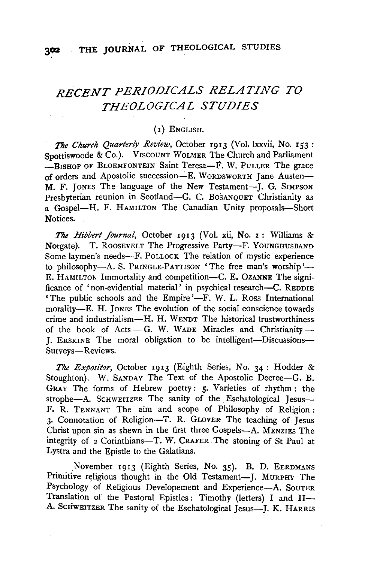# *RECENT PERIODICALS RELATING TO THEOLOGICAL STUDIES*

### (I) ENGLISH.

*The Church Quarterly Review,* October 1913 (Vol. lxxvii, No. 153 : Spottiswoode & Co.). VISCOUNT WOLMER The Church and Parliament  $-R$ ISHOP OF BLOEMFONTEIN Saint Teresa-F. W. PULLER The grace of orders and Apostolic succession-E. WoRDSWORTH Jane Austen-M. F. JONES The language of the New Testament-]. G. SIMPSON Presbyterian reunion in Scotland-G. C. BOSANQUET Christianity as a Gospel-H. F. HAMILTON The Canadian Unity proposals-Short Notices.

*The Hibbert Journal,* October 1913 (Vol. xii, No. r : Williams & Norgate). T. ROOSEVELT The Progressive Party-F. YOUNGHUSBAND Some laymen's needs-F. PoLLOCK The relation of mystic experience to philosophy-A. S. PRINGLE-PATTISON 'The free man's worship'-E. HAMILTON Immortality and competition-C. E. OZANNE The significance of 'non-evidential material' in psychical research--C. REDDIE 'The public schools and the Empire' $-F$ . W. L. Ross International morality-E. H. JONES The evolution of the social conscience towards crime and industrialism-H. H. WENDT The historical trustworthiness of the book of Acts $- G$ . W. WADE Miracles and Christianity-I. ERSKINE The moral obligation to be intelligent-Discussions-Surveys-Reviews.

*The Expositor,* October 1913 (Eighth Series, No. 34: Hodder & Stoughton). W. SANDAY The Text of the Apostolic Decree-G. B. GRAY The forms of Hebrew poetry: *5·* Varieties of rhythm: the strophe-A. SCHWEITZER The sanity of the Eschatological Jesus-F. R. TENNANT The aim and scope of Philosophy of Religion: 3· Connotation of Religion-T. R. GLOVER The teaching of Jesus Christ upon sin as shewn in the first three Gospels-A. MENZIES The integrity of 2 Corinthians-T. W. CRAFER The stoning of St Paul at Lystra and the Epistle to the Galatians.

November 1913 (Eighth Series, No. 35). B. D. EERDMANS Primitive religious thought in the Old Testament--J. MURPHY The Sychology of Religious Developement and Experience-A. SouTER<br>
Tanslation of the Pastoral Epistles: Timothy (letters) I and II-Translation of the Pastoral Epistles: Timothy (letters) I and II-<br>A. ScriwEITZER The sanity of the Eschatological Jesus-J. K. HARRIS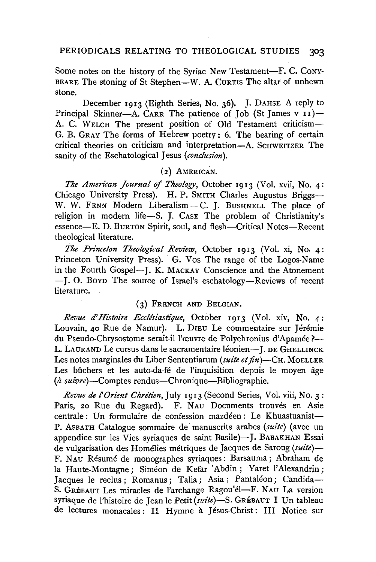#### PERIODICALS RELATING TO THEOLOGICAL STUDIES 303

Some notes on the history of the Syriac New Testament-F. C. Cony-BEARE The stoning of St Stephen-W. A. CURTIS The altar of unhewn stone.

December 1913 (Eighth Series, No. 36). J. DAHSE A reply to Principal Skinner-A. CARR The patience of Job (St James v  $11$ )-A. C. WELCH The present position of Old Testament criticism-G. B. GRAY The forms of Hebrew poetry: 6. The bearing of certain critical theories on criticism and interpretation-A. SCHWEITZER The sanity of the Eschatological Jesus *(conclusion).* 

## (2} AMERICAN.

*The American Journal of Theology,* October 1913 (Vol. xvii, No. 4: Chicago University Press). H. P. SMITH Charles Augustus Briggs-W. W. FENN Modern Liberalism-C. J. BUSHNELL The place of religion in modern life-S. J. CAsE The problem of Christianity's essence-E. D. BURTON Spirit, soul, and flesh-Critical Notes-Recent theological literature.

*The Prince/on Theological Review,* October 1913 (Vol. xi, No. 4: Princeton University Press). G. Vos The range of the Logos-Name in the Fourth Gospel-J. K. MACKAY Conscience and the Atonement -J. 0. BOYD The source of Israel's eschatology-Reviews of recent literature.

#### (3) FRENCH AND BELGIAN.

*Revue d'Histoire Eccllsiastique,* October 1913 (Vol. xiv, No. 4: Louvain, 40 Rue de Namur). L. DIEU Le commentaire sur Jérémie du Pseudo-Chrysostome serait-il l'œuvre de Polychronius d'Apamée ?-L. LAURAND Le cursus dans le sacramentaire léonien-I. DE GHELLINCK Les notes marginales du Liber Sententiarum *(suite et fin)-CH.* MoELLER Les bûchers et les auto-da-fé de l'inquisition depuis le moyen âge (a *suivre)-Comptes* rendus-Chronique-Bibliographie.

*Revue de !'Orient Chretien,* July 1913 (Second Series, Vol. viii, No. 3: Paris, 20 Rue du Regard). F. NAU Documents trouvés en Asie centrale: Un formulaire de confession mazdéen: Le Khuastuanist-P. AsBATH Catalogue sommaire de manuscrits arabes *(suite)* (avec un appendice sur les Vies syriaques de saint Basile)-I. BABAKHAN Essai de vulgarisation des Homelies metriques de Jacques de Saroug *(suite)-* F. NAu Resume de monographes syriaques: Barsauma; Abraham de la Haute-Montagne; Siméon de Kefar 'Abdin; Yaret l'Alexandrin; Jacques le reclus; Romanus; Talia; Asia; Pantaléon; Candida-S. GRÉBAUT Les miracles de l'archange Ragou'el-F. NAU La version syriaque de l'histoire de Jean le Petit (suite)-S. GRÉBAUT I Un tableau de lectures monacales: II Hymne à Jésus-Christ: III Notice sur